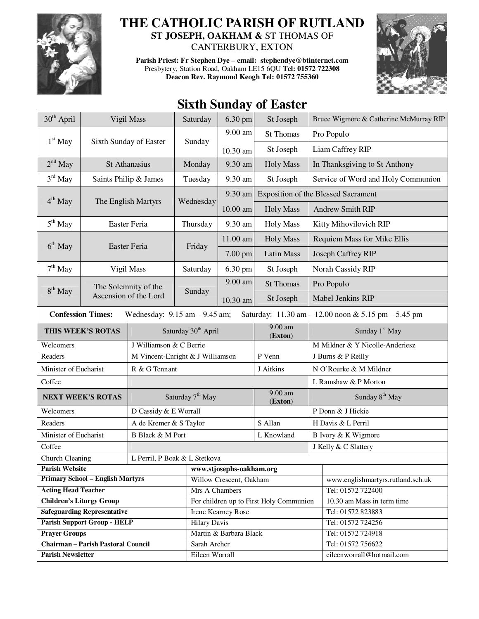

## **THE CATHOLIC PARISH OF RUTLAND**

**ST JOSEPH, OAKHAM &** ST THOMAS OF CANTERBURY, EXTON

**Parish Priest: Fr Stephen Dye** – **email: stephendye@btinternet.com** Presbytery, Station Road, Oakham LE15 6QU **Tel: 01572 722308 Deacon Rev. Raymond Keogh Tel: 01572 755360** 



## **Sixth Sunday of Easter**

| 30 <sup>th</sup> April                                                                                                                                  | Vigil Mass             |                                  | Saturday                                | 6.30 pm  | St Joseph            |                                            | Bruce Wigmore & Catherine McMurray RIP |  |
|---------------------------------------------------------------------------------------------------------------------------------------------------------|------------------------|----------------------------------|-----------------------------------------|----------|----------------------|--------------------------------------------|----------------------------------------|--|
|                                                                                                                                                         | Sixth Sunday of Easter |                                  | Sunday                                  | 9.00 am  | <b>St Thomas</b>     |                                            | Pro Populo                             |  |
| $1st$ May                                                                                                                                               |                        |                                  |                                         | 10.30 am | St Joseph            |                                            | Liam Caffrey RIP                       |  |
| $2nd$ May                                                                                                                                               |                        | St Athanasius                    |                                         | 9.30 am  | <b>Holy Mass</b>     |                                            | In Thanksgiving to St Anthony          |  |
| $3rd$ May                                                                                                                                               | Saints Philip & James  |                                  | Tuesday                                 | 9.30 am  | St Joseph            |                                            | Service of Word and Holy Communion     |  |
|                                                                                                                                                         |                        |                                  |                                         | 9.30 am  |                      | <b>Exposition of the Blessed Sacrament</b> |                                        |  |
| $4th$ May                                                                                                                                               |                        | The English Martyrs              | Wednesday                               | 10.00 am | <b>Holy Mass</b>     |                                            | Andrew Smith RIP                       |  |
| $5th$ May                                                                                                                                               | Easter Feria           |                                  | Thursday                                | 9.30 am  | <b>Holy Mass</b>     |                                            | Kitty Mihovilovich RIP                 |  |
|                                                                                                                                                         | Easter Feria           |                                  | Friday                                  | 11.00 am | <b>Holy Mass</b>     | Requiem Mass for Mike Ellis                |                                        |  |
| $6th$ May                                                                                                                                               |                        |                                  |                                         | 7.00 pm  | Latin Mass           | Joseph Caffrey RIP                         |                                        |  |
| $7th$ May                                                                                                                                               |                        | Vigil Mass                       |                                         | 6.30 pm  | St Joseph            | Norah Cassidy RIP                          |                                        |  |
|                                                                                                                                                         |                        | The Solemnity of the             |                                         | 9.00 am  | <b>St Thomas</b>     |                                            | Pro Populo                             |  |
| $8th$ May                                                                                                                                               |                        | Ascension of the Lord            | Sunday                                  | 10.30 am | St Joseph            |                                            | Mabel Jenkins RIP                      |  |
| <b>Confession Times:</b><br>Wednesday: $9.15$ am $- 9.45$ am;<br>Saturday: $11.30 \text{ am} - 12.00 \text{ noon} \& 5.15 \text{ pm} - 5.45 \text{ pm}$ |                        |                                  |                                         |          |                      |                                            |                                        |  |
| THIS WEEK'S ROTAS                                                                                                                                       |                        | Saturday 30 <sup>th</sup> April  |                                         |          | 9.00 am<br>(Exton)   | Sunday 1 <sup>st</sup> May                 |                                        |  |
| Welcomers                                                                                                                                               |                        | J Williamson & C Berrie          |                                         |          |                      | M Mildner & Y Nicolle-Anderiesz            |                                        |  |
| Readers                                                                                                                                                 |                        | M Vincent-Enright & J Williamson |                                         |          | P Venn               | J Burns & P Reilly                         |                                        |  |
| Minister of Eucharist                                                                                                                                   |                        | R & G Tennant                    |                                         |          | J Aitkins            | N O'Rourke & M Mildner                     |                                        |  |
| Coffee                                                                                                                                                  |                        |                                  |                                         |          |                      |                                            | L Ramshaw & P Morton                   |  |
| <b>NEXT WEEK'S ROTAS</b>                                                                                                                                |                        | Saturday 7 <sup>th</sup> May     |                                         |          | $9.00$ am<br>(Exton) | Sunday 8 <sup>th</sup> May                 |                                        |  |
| Welcomers                                                                                                                                               |                        | D Cassidy & E Worrall            |                                         |          |                      | P Donn & J Hickie                          |                                        |  |
| Readers                                                                                                                                                 |                        | A de Kremer & S Taylor           |                                         |          | S Allan              | H Davis & L Perril                         |                                        |  |
| Minister of Eucharist                                                                                                                                   |                        | <b>B</b> Black & M Port          |                                         |          | L Knowland           | B Ivory & K Wigmore                        |                                        |  |
| Coffee                                                                                                                                                  |                        |                                  |                                         |          | J Kelly & C Slattery |                                            |                                        |  |
| <b>Church Cleaning</b><br>L Perril, P Boak & L Stetkova                                                                                                 |                        |                                  |                                         |          |                      |                                            |                                        |  |
| <b>Parish Website</b>                                                                                                                                   |                        |                                  | www.stjosephs-oakham.org                |          |                      |                                            |                                        |  |
| <b>Primary School - English Martyrs</b>                                                                                                                 |                        |                                  | Willow Crescent, Oakham                 |          |                      | www.englishmartyrs.rutland.sch.uk          |                                        |  |
| <b>Acting Head Teacher</b>                                                                                                                              |                        |                                  | Mrs A Chambers                          |          |                      | Tel: 01572 722400                          |                                        |  |
| <b>Children's Liturgy Group</b>                                                                                                                         |                        |                                  | For children up to First Holy Communion |          |                      | 10.30 am Mass in term time                 |                                        |  |
| <b>Safeguarding Representative</b>                                                                                                                      |                        |                                  | Irene Kearney Rose                      |          |                      | Tel: 01572 823883                          |                                        |  |
| <b>Parish Support Group - HELP</b>                                                                                                                      |                        |                                  | <b>Hilary Davis</b>                     |          |                      | Tel: 01572 724256                          |                                        |  |
| <b>Prayer Groups</b><br><b>Chairman - Parish Pastoral Council</b>                                                                                       |                        |                                  | Martin & Barbara Black                  |          |                      | Tel: 01572 724918<br>Tel: 01572 756622     |                                        |  |
| <b>Parish Newsletter</b>                                                                                                                                |                        |                                  | Sarah Archer<br>Eileen Worrall          |          |                      | eileenworrall@hotmail.com                  |                                        |  |
|                                                                                                                                                         |                        |                                  |                                         |          |                      |                                            |                                        |  |